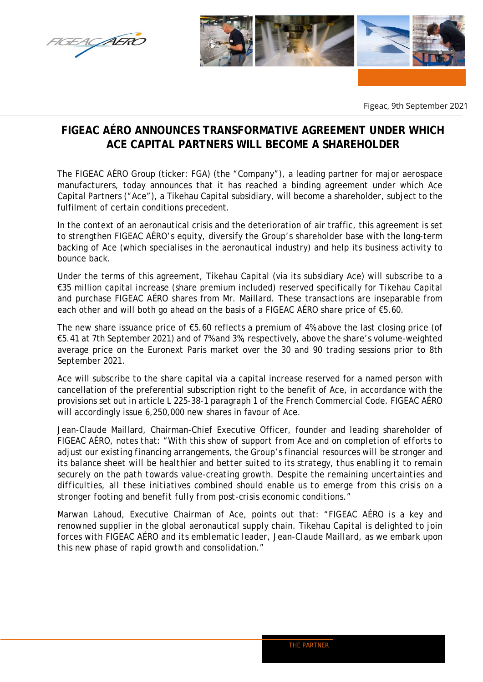



Figeac, 9th September 2021

## **FIGEAC AÉRO ANNOUNCES TRANSFORMATIVE AGREEMENT UNDER WHICH ACE CAPITAL PARTNERS WILL BECOME A SHAREHOLDER**

The FIGEAC AÉRO Group (ticker: FGA) (the "Company"), a leading partner for major aerospace manufacturers, today announces that it has reached a binding agreement under which Ace Capital Partners ("Ace"), a Tikehau Capital subsidiary, will become a shareholder, subject to the fulfilment of certain conditions precedent.

In the context of an aeronautical crisis and the deterioration of air traffic, this agreement is set to strengthen FIGEAC AÉRO's equity, diversify the Group's shareholder base with the long-term backing of Ace (which specialises in the aeronautical industry) and help its business activity to bounce back.

Under the terms of this agreement, Tikehau Capital (via its subsidiary Ace) will subscribe to a €35 million capital increase (share premium included) reserved specifically for Tikehau Capital and purchase FIGEAC AÉRO shares from Mr. Maillard. These transactions are inseparable from each other and will both go ahead on the basis of a FIGEAC AÉRO share price of €5.60.

The new share issuance price of €5.60 reflects a premium of 4% above the last closing price (of €5.41 at 7th September 2021) and of 7% and 3%, respectively, above the share's volume-weighted average price on the Euronext Paris market over the 30 and 90 trading sessions prior to 8th September 2021.

Ace will subscribe to the share capital via a capital increase reserved for a named person with cancellation of the preferential subscription right to the benefit of Ace, in accordance with the provisions set out in article L 225-38-1 paragraph 1 of the French Commercial Code. FIGEAC AÉRO will accordingly issue 6,250,000 new shares in favour of Ace.

Jean-Claude Maillard, Chairman-Chief Executive Officer, founder and leading shareholder of FIGEAC AÉRO, notes that: "*With this show of support from Ace and on completion of efforts to adjust our existing financing arrangements, the Group's financial resources will be stronger and its balance sheet will be healthier and better suited to its strategy, thus enabling it to remain securely on the path towards value-creating growth. Despite the remaining uncertainties and difficulties, all these initiatives combined should enable us to emerge from this crisis on a stronger footing and benefit fully from post-crisis economic conditions.*"

Marwan Lahoud, Executive Chairman of Ace, points out that: *"FIGEAC AÉRO is a key and renowned supplier in the global aeronautical supply chain. Tikehau Capital is delighted to join forces with FIGEAC AÉRO and its emblematic leader, Jean-Claude Maillard, as we embark upon this new phase of rapid growth and consolidation."*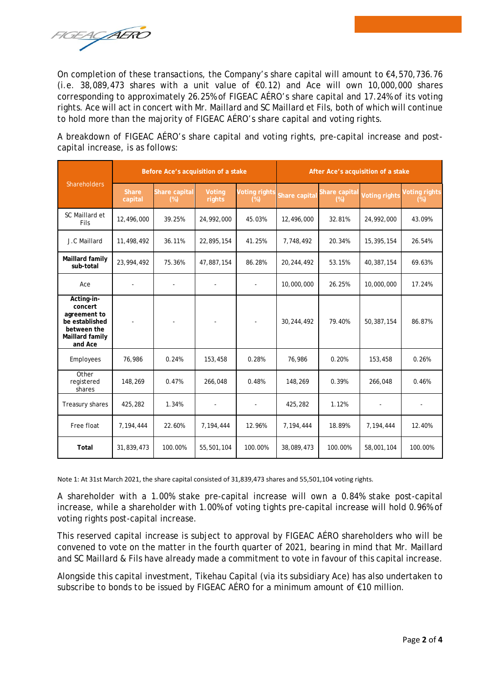FIGEACAERO

On completion of these transactions, the Company's share capital will amount to €4,570,736.76 (i.e. 38,089,473 shares with a unit value of €0.12) and Ace will own 10,000,000 shares corresponding to approximately 26.25% of FIGEAC AÉRO's share capital and 17.24% of its voting rights. Ace will act in concert with Mr. Maillard and SC Maillard et Fils, both of which will continue to hold more than the majority of FIGEAC AÉRO's share capital and voting rights.

A breakdown of FIGEAC AÉRO's share capital and voting rights, pre-capital increase and postcapital increase, is as follows:

| <b>Shareholders</b>                                                                                  | Before Ace's acquisition of a stake |                         |                  |                                | After Ace's acquisition of a stake |                         |                      |                                |
|------------------------------------------------------------------------------------------------------|-------------------------------------|-------------------------|------------------|--------------------------------|------------------------------------|-------------------------|----------------------|--------------------------------|
|                                                                                                      | <b>Share</b><br>capital             | Share capital<br>$(\%)$ | Voting<br>rights | <b>Voting rights</b><br>$(\%)$ | Share capita                       | Share capital<br>$(\%)$ | <b>Voting rights</b> | <b>Voting rights</b><br>$(\%)$ |
| SC Maillard et<br>Fils                                                                               | 12,496,000                          | 39.25%                  | 24,992,000       | 45.03%                         | 12,496,000                         | 32.81%                  | 24,992,000           | 43.09%                         |
| J.C Maillard                                                                                         | 11,498,492                          | 36.11%                  | 22,895,154       | 41.25%                         | 7,748,492                          | 20.34%                  | 15,395,154           | 26.54%                         |
| Maillard family<br>sub-total                                                                         | 23,994,492                          | 75.36%                  | 47,887,154       | 86.28%                         | 20,244,492                         | 53.15%                  | 40,387,154           | 69.63%                         |
| Ace                                                                                                  |                                     |                         |                  |                                | 10,000,000                         | 26.25%                  | 10,000,000           | 17.24%                         |
| Acting-in-<br>concert<br>agreement to<br>be established<br>between the<br>Maillard family<br>and Ace |                                     |                         |                  |                                | 30,244,492                         | 79.40%                  | 50,387,154           | 86.87%                         |
| Employees                                                                                            | 76,986                              | 0.24%                   | 153,458          | 0.28%                          | 76,986                             | 0.20%                   | 153,458              | 0.26%                          |
| Other<br>registered<br>shares                                                                        | 148,269                             | 0.47%                   | 266,048          | 0.48%                          | 148,269                            | 0.39%                   | 266,048              | 0.46%                          |
| Treasury shares                                                                                      | 425,282                             | 1.34%                   |                  |                                | 425,282                            | 1.12%                   |                      |                                |
| Free float                                                                                           | 7,194,444                           | 22.60%                  | 7,194,444        | 12.96%                         | 7,194,444                          | 18.89%                  | 7,194,444            | 12.40%                         |
| Total                                                                                                | 31,839,473                          | 100.00%                 | 55,501,104       | 100.00%                        | 38,089,473                         | 100.00%                 | 58,001,104           | 100.00%                        |

Note 1: At 31st March 2021, the share capital consisted of 31,839,473 shares and 55,501,104 voting rights.

A shareholder with a 1.00% stake pre-capital increase will own a 0.84% stake post-capital increase, while a shareholder with 1.00% of voting tights pre-capital increase will hold 0.96% of voting rights post-capital increase.

This reserved capital increase is subject to approval by FIGEAC AÉRO shareholders who will be convened to vote on the matter in the fourth quarter of 2021, bearing in mind that Mr. Maillard and SC Maillard & Fils have already made a commitment to vote in favour of this capital increase.

Alongside this capital investment, Tikehau Capital (via its subsidiary Ace) has also undertaken to subscribe to bonds to be issued by FIGEAC AÉRO for a minimum amount of €10 million.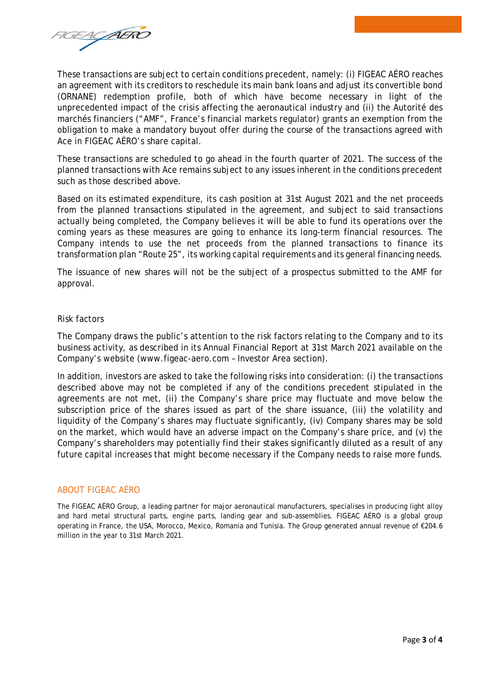FIGEACAERO

These transactions are subject to certain conditions precedent, namely: (i) FIGEAC AÉRO reaches an agreement with its creditors to reschedule its main bank loans and adjust its convertible bond (ORNANE) redemption profile, both of which have become necessary in light of the unprecedented impact of the crisis affecting the aeronautical industry and (ii) the Autorité des marchés financiers ("AMF", France's financial markets regulator) grants an exemption from the obligation to make a mandatory buyout offer during the course of the transactions agreed with Ace in FIGEAC AÉRO's share capital.

These transactions are scheduled to go ahead in the fourth quarter of 2021. The success of the planned transactions with Ace remains subject to any issues inherent in the conditions precedent such as those described above.

Based on its estimated expenditure, its cash position at 31st August 2021 and the net proceeds from the planned transactions stipulated in the agreement, and subject to said transactions actually being completed, the Company believes it will be able to fund its operations over the coming years as these measures are going to enhance its long-term financial resources. The Company intends to use the net proceeds from the planned transactions to finance its transformation plan "Route 25", its working capital requirements and its general financing needs.

The issuance of new shares will not be the subject of a prospectus submitted to the AMF for approval.

## Risk factors

The Company draws the public's attention to the risk factors relating to the Company and to its business activity, as described in its Annual Financial Report at 31st March 2021 available on the Company's website (www.figeac-aero.com – Investor Area section).

In addition, investors are asked to take the following risks into consideration: (i) the transactions described above may not be completed if any of the conditions precedent stipulated in the agreements are not met, (ii) the Company's share price may fluctuate and move below the subscription price of the shares issued as part of the share issuance, (iii) the volatility and liquidity of the Company's shares may fluctuate significantly, (iv) Company shares may be sold on the market, which would have an adverse impact on the Company's share price, and (v) the Company's shareholders may potentially find their stakes significantly diluted as a result of any future capital increases that might become necessary if the Company needs to raise more funds.

## ABOUT FIGEAC AÉRO

The FIGEAC AÉRO Group, a leading partner for major aeronautical manufacturers, specialises in producing light alloy and hard metal structural parts, engine parts, landing gear and sub-assemblies. FIGEAC AÉRO is a global group operating in France, the USA, Morocco, Mexico, Romania and Tunisia. The Group generated annual revenue of €204.6 million in the year to 31st March 2021.